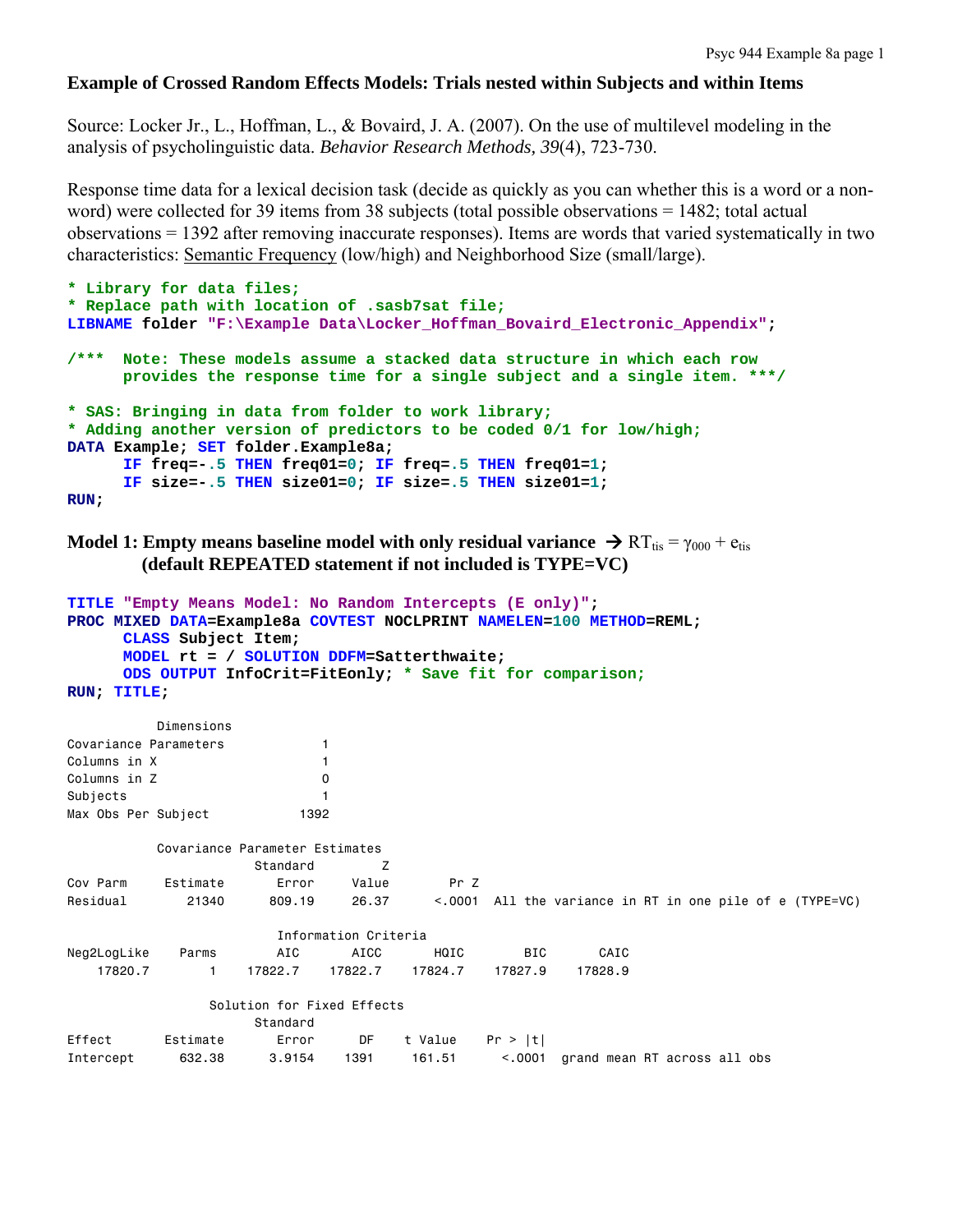### **Example of Crossed Random Effects Models: Trials nested within Subjects and within Items**

Source: Locker Jr., L., Hoffman, L., & Bovaird, J. A. (2007). On the use of multilevel modeling in the analysis of psycholinguistic data. *Behavior Research Methods, 39*(4), 723-730.

Response time data for a lexical decision task (decide as quickly as you can whether this is a word or a nonword) were collected for 39 items from 38 subjects (total possible observations = 1482; total actual observations = 1392 after removing inaccurate responses). Items are words that varied systematically in two characteristics: Semantic Frequency (low/high) and Neighborhood Size (small/large).

```
* Library for data files;
* Replace path with location of .sasb7sat file;
LIBNAME folder "F:\Example Data\Locker_Hoffman_Bovaird_Electronic_Appendix"; 
/*** Note: These models assume a stacked data structure in which each row 
       provides the response time for a single subject and a single item. ***/
* SAS: Bringing in data from folder to work library;
* Adding another version of predictors to be coded 0/1 for low/high;
DATA Example; SET folder.Example8a; 
      IF freq=-.5 THEN freq01=0; IF freq=.5 THEN freq01=1; 
      IF size=-.5 THEN size01=0; IF size=.5 THEN size01=1; 
RUN;
```
**Model 1: Empty means baseline model with only residual variance**  $\rightarrow R T_{\text{tis}} = \gamma_{000} + e_{\text{tis}}$  **(default REPEATED statement if not included is TYPE=VC)**

```
TITLE "Empty Means Model: No Random Intercepts (E only)"; 
PROC MIXED DATA=Example8a COVTEST NOCLPRINT NAMELEN=100 METHOD=REML; 
     CLASS Subject Item; 
     MODEL rt = / SOLUTION DDFM=Satterthwaite; 
     ODS OUTPUT InfoCrit=FitEonly; * Save fit for comparison;
RUN; TITLE; 
         Dimensions 
Covariance Parameters 1 
Columns in X 1
Columns in Z 0
Subjects 1
Max Obs Per Subject 1392
         Covariance Parameter Estimates 
                  Standard Z 
Cov Parm Estimate Error Value Pr Z 
Residual 21340 809.19 26.37 <.0001 All the variance in RT in one pile of e (TYPE=VC) 
                     Information Criteria 
Neg2LogLike Parms AIC AICC HQIC BIC CAIC 
   17820.7 1 17822.7 17822.7 17824.7 17827.9 17828.9 
              Solution for Fixed Effects 
                  Standard 
Effect Estimate Error DF t Value Pr > |t|
Intercept 632.38 3.9154 1391 161.51 <.0001 grand mean RT across all obs
```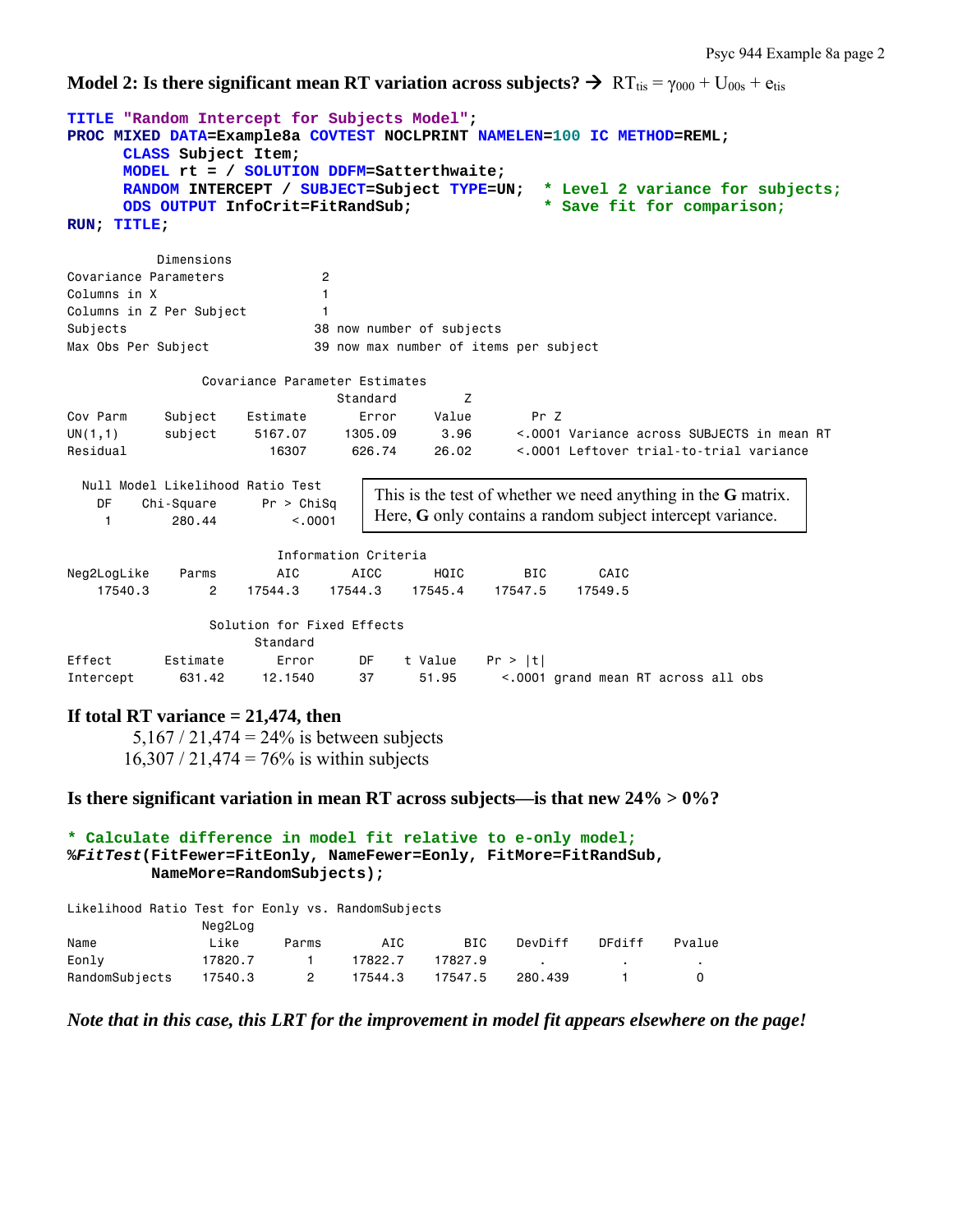**Model 2: Is there significant mean RT variation across subjects?**  $\rightarrow$  **RT<sub>tis</sub> =**  $\gamma_{000}$  **+ U<sub>00s</sub> + e<sub>tis</sub>** 

```
TITLE "Random Intercept for Subjects Model"; 
PROC MIXED DATA=Example8a COVTEST NOCLPRINT NAMELEN=100 IC METHOD=REML; 
      CLASS Subject Item; 
     MODEL rt = / SOLUTION DDFM=Satterthwaite; 
      RANDOM INTERCEPT / SUBJECT=Subject TYPE=UN; * Level 2 variance for subjects;
      ODS OUTPUT InfoCrit=FitRandSub; * Save fit for comparison;
RUN; TITLE; 
          Dimensions 
Covariance Parameters 2 
Columns in X 1
Columns in Z Per Subject 1
Subjects 38 now number of subjects 
Max Obs Per Subject 39 now max number of items per subject 
               Covariance Parameter Estimates 
                            Standard Z 
Cov Parm Subject Estimate Error Value Pr Z 
UN(1,1) subject 5167.07 1305.09 3.96 <.0001 Variance across SUBJECTS in mean RT 
Residual 16307 626.74 26.02 <.0001 Leftover trial-to-trial variance 
  Null Model Likelihood Ratio Test 
    DF Chi-Square Pr > ChiSq 
    1 280.44 <.0001 
                       Information Criteria 
Neg2LogLike Parms AIC AICC HQIC BIC CAIC 
    17540.3 2 17544.3 17544.3 17545.4 17547.5 17549.5 
                Solution for Fixed Effects 
                   Standard 
Effect Estimate Error DF t Value Pr > |t| 
Intercept 631.42 12.1540 37 51.95 <.0001 grand mean RT across all obs
If total RT variance = 21,474, then 
       5,167 / 21,474 = 24% is between subjects
      16,307 / 21,474 = 76\% is within subjects
Is there significant variation in mean RT across subjects—is that new 24% > 0%? 
                                This is the test of whether we need anything in the G matrix. 
                                Here, G only contains a random subject intercept variance.
```

```
* Calculate difference in model fit relative to e-only model;
%FitTest(FitFewer=FitEonly, NameFewer=Eonly, FitMore=FitRandSub, 
          NameMore=RandomSubjects);
```
Likelihood Ratio Test for Eonly vs. RandomSubjects

Neg2Log

|                | $1199 - 199$ |          |         |         |         |        |        |
|----------------|--------------|----------|---------|---------|---------|--------|--------|
| Name           | Like         | Parms    | AIC     | BIC     | DevDiff | DFdiff | Pvalue |
| Eonly          | 17820.7      |          | 17822.7 | 17827.9 |         |        |        |
| RandomSubjects | 17540.3      | $\sim$ 2 | 17544.3 | 17547.5 | 280.439 |        |        |

*Note that in this case, this LRT for the improvement in model fit appears elsewhere on the page!*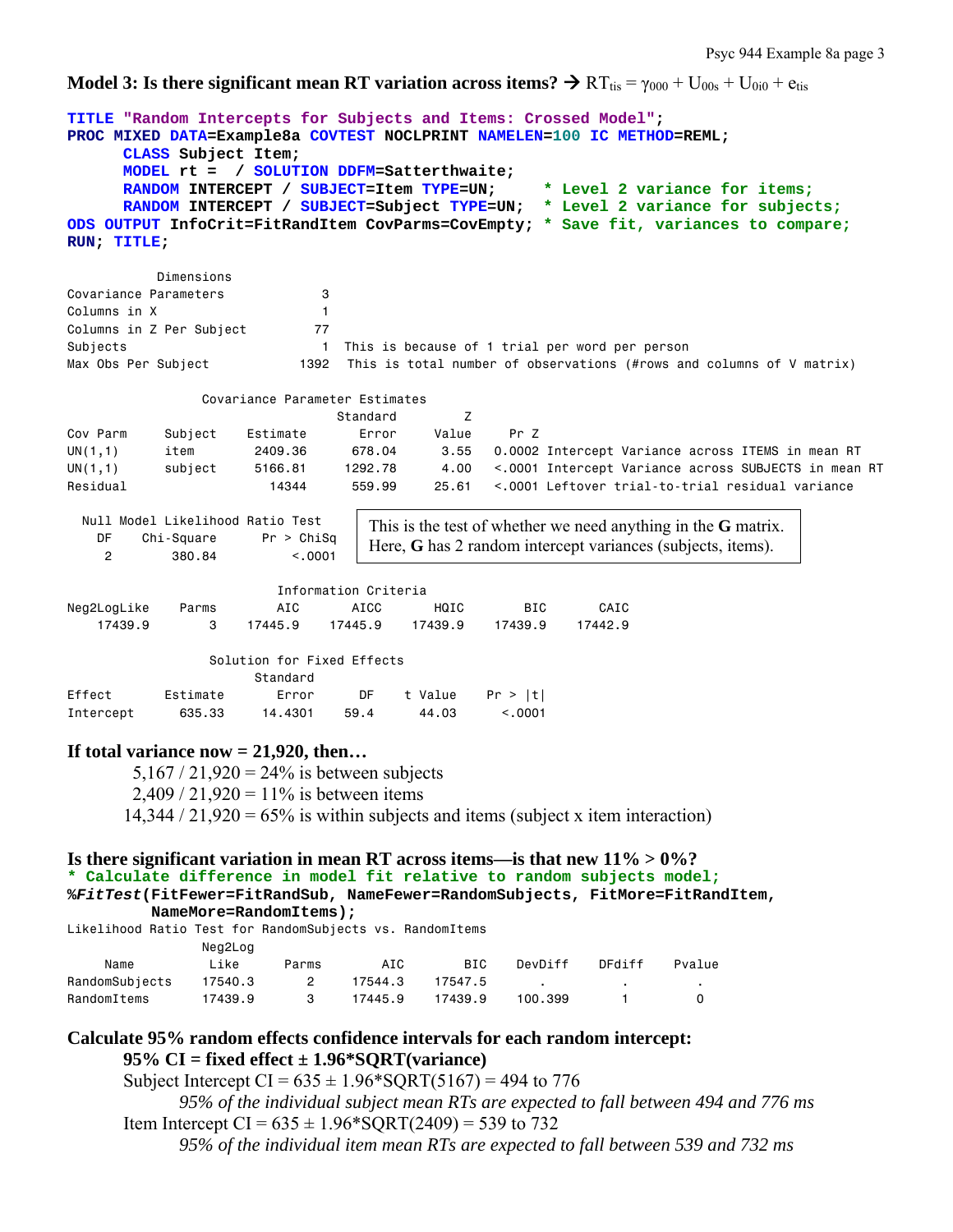**Model 3: Is there significant mean RT variation across items?**  $\rightarrow$  RT<sub>tis</sub> =  $\gamma_{000}$  + U<sub>00s</sub> + U<sub>0i0</sub> + e<sub>tis</sub>

```
TITLE "Random Intercepts for Subjects and Items: Crossed Model"; 
PROC MIXED DATA=Example8a COVTEST NOCLPRINT NAMELEN=100 IC METHOD=REML; 
      CLASS Subject Item; 
     MODEL rt = / SOLUTION DDFM=Satterthwaite; 
      RANDOM INTERCEPT / SUBJECT=Item TYPE=UN; * Level 2 variance for items;
      RANDOM INTERCEPT / SUBJECT=Subject TYPE=UN; * Level 2 variance for subjects; 
ODS OUTPUT InfoCrit=FitRandItem CovParms=CovEmpty; * Save fit, variances to compare;
RUN; TITLE; 
          Dimensions 
Covariance Parameters 3 
Columns in X 1
Columns in Z Per Subject 77
Subjects 1 This is because of 1 trial per word per person
Max Obs Per Subject 1392 This is total number of observations (#rows and columns of V matrix)
               Covariance Parameter Estimates 
example and the standard control of \mathsf ZCov Parm Subject Estimate Error Value Pr Z 
UN(1,1) item 2409.36 678.04 3.55 0.0002 Intercept Variance across ITEMS in mean RT 
UN(1,1) subject 5166.81 1292.78 4.00 <.0001 Intercept Variance across SUBJECTS in mean RT 
Residual 14344 559.99 25.61 <.0001 Leftover trial-to-trial residual variance 
  Null Model Likelihood Ratio Test 
    DF Chi-Square Pr > ChiSq 
     2 380.84 <.0001 
                       Information Criteria 
Neg2LogLike Parms AIC AICC HQIC BIC CAIC 
 17439.9 3 17445.9 17445.9 17439.9 17439.9 17442.9 
                Solution for Fixed Effects 
                     Standard 
Effect Estimate Error DF t Value Pr > |t| 
Intercept 635.33 14.4301 59.4 44.03 <.0001
If total variance now = 21,920, then… 
       5,167 / 21,920 = 24\% is between subjects
       2,409 / 21,920 = 11\% is between items
      14,344 / 21,920 = 65\% is within subjects and items (subject x item interaction)
Is there significant variation in mean RT across items—is that new 11% > 0%? 
* Calculate difference in model fit relative to random subjects model;
%FitTest(FitFewer=FitRandSub, NameFewer=RandomSubjects, FitMore=FitRandItem, 
          NameMore=RandomItems); 
Likelihood Ratio Test for RandomSubjects vs. RandomItems 
               Neg2Log 
 Name Like Parms AIC BIC DevDiff DFdiff Pvalue 
RandomSubjects 17540.3 2 17544.3 17547.5
RandomItems 17439.9 3 17445.9 17439.9 100.399 1 0
Calculate 95% random effects confidence intervals for each random intercept: 
      95% CI = fixed effect ± 1.96*SQRT(variance) 
                                This is the test of whether we need anything in the G matrix. 
                                Here, G has 2 random intercept variances (subjects, items).
```
Subject Intercept CI =  $635 \pm 1.96*$  SQRT(5167) = 494 to 776 *95% of the individual subject mean RTs are expected to fall between 494 and 776 ms*  Item Intercept CI =  $635 \pm 1.96*$  SORT(2409) = 539 to 732 *95% of the individual item mean RTs are expected to fall between 539 and 732 ms*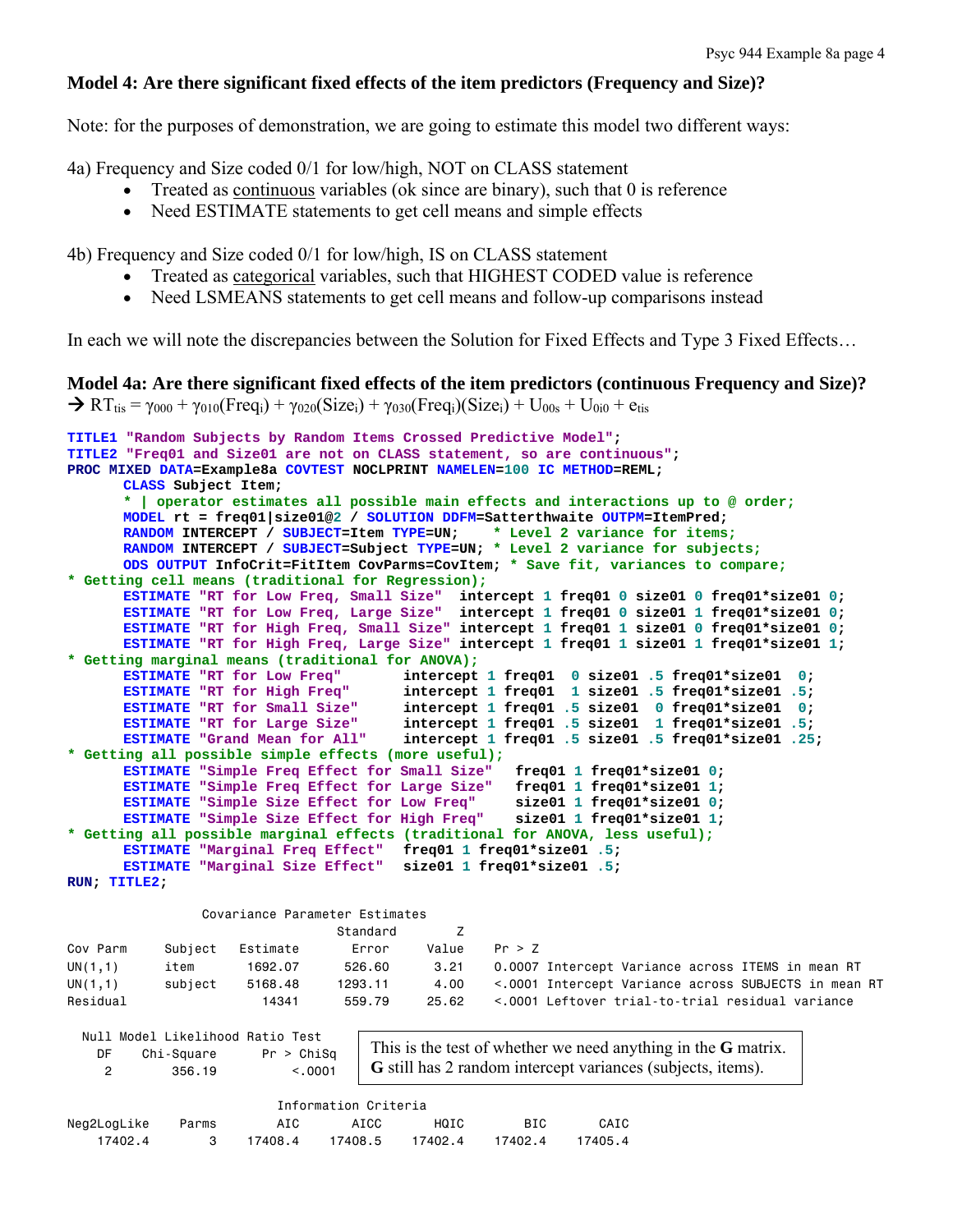# **Model 4: Are there significant fixed effects of the item predictors (Frequency and Size)?**

Note: for the purposes of demonstration, we are going to estimate this model two different ways:

4a) Frequency and Size coded 0/1 for low/high, NOT on CLASS statement

- Treated as continuous variables (ok since are binary), such that 0 is reference
- Need ESTIMATE statements to get cell means and simple effects

4b) Frequency and Size coded 0/1 for low/high, IS on CLASS statement

- Treated as categorical variables, such that HIGHEST CODED value is reference
- Need LSMEANS statements to get cell means and follow-up comparisons instead

In each we will note the discrepancies between the Solution for Fixed Effects and Type 3 Fixed Effects…

```
Model 4a: Are there significant fixed effects of the item predictors (continuous Frequency and Size)? 
\rightarrow RT<sub>tis</sub> = \gamma_{000} + \gamma_{010}(Freq<sub>i</sub>) + \gamma_{020}(Size<sub>i</sub>) + \gamma_{030}(Freq<sub>i</sub>)(Size<sub>i</sub>) + U<sub>00s</sub> + U<sub>0i0</sub> + e<sub>tis</sub>
```

```
TITLE1 "Random Subjects by Random Items Crossed Predictive Model"; 
TITLE2 "Freq01 and Size01 are not on CLASS statement, so are continuous"; 
PROC MIXED DATA=Example8a COVTEST NOCLPRINT NAMELEN=100 IC METHOD=REML; 
      CLASS Subject Item; 
       * | operator estimates all possible main effects and interactions up to @ order;
      MODEL rt = freq01|size01@2 / SOLUTION DDFM=Satterthwaite OUTPM=ItemPred; 
      RANDOM INTERCEPT / SUBJECT=Item TYPE=UN; * Level 2 variance for items;
      RANDOM INTERCEPT / SUBJECT=Subject TYPE=UN; * Level 2 variance for subjects; 
      ODS OUTPUT InfoCrit=FitItem CovParms=CovItem; * Save fit, variances to compare;
* Getting cell means (traditional for Regression);
      ESTIMATE "RT for Low Freq, Small Size" intercept 1 freq01 0 size01 0 freq01*size01 0; 
      ESTIMATE "RT for Low Freq, Large Size" intercept 1 freq01 0 size01 1 freq01*size01 0; 
      ESTIMATE "RT for High Freq, Small Size" intercept 1 freq01 1 size01 0 freq01*size01 0; 
      ESTIMATE "RT for High Freq, Large Size" intercept 1 freq01 1 size01 1 freq01*size01 1; 
* Getting marginal means (traditional for ANOVA);
      ESTIMATE "RT for Low Freq" intercept 1 freq01 0 size01 .5 freq01*size01 0; 
       ESTIMATE "RT for High Freq" intercept 1 freq01 1 size01 .5 freq01*size01 .5; 
       ESTIMATE "RT for Small Size" intercept 1 freq01 .5 size01 0 freq01*size01 0; 
       ESTIMATE "RT for Large Size" intercept 1 freq01 .5 size01 1 freq01*size01 .5; 
       ESTIMATE "Grand Mean for All" intercept 1 freq01 .5 size01 .5 freq01*size01 .25; 
* Getting all possible simple effects (more useful);
       ESTIMATE "Simple Freq Effect for Small Size" freq01 1 freq01*size01 0; 
       ESTIMATE "Simple Freq Effect for Large Size" freq01 1 freq01*size01 1; 
       ESTIMATE "Simple Size Effect for Low Freq" size01 1 freq01*size01 0; 
       ESTIMATE "Simple Size Effect for High Freq" size01 1 freq01*size01 1; 
* Getting all possible marginal effects (traditional for ANOVA, less useful);
      ESTIMATE "Marginal Freq Effect" freq01 1 freq01*size01 .5; 
      ESTIMATE "Marginal Size Effect" size01 1 freq01*size01 .5; 
RUN; TITLE2;
                 Covariance Parameter Estimates 
                                Standard Z 
Cov Parm Subject Estimate Error Value Pr > Z 
UN(1,1) item 1692.07 526.60 3.21 0.0007 Intercept Variance across ITEMS in mean RT<br>UN(1,1) subject 5168.48 1293.11 4.00 <.0001 Intercept Variance across SUBJECTS in mean
UN(1,1) subject 5168.48 1293.11 4.00 <.0001 Intercept Variance across SUBJECTS in mean RT 
Residual 14341 559.79 25.62 <.0001 Leftover trial-to-trial residual variance
  Null Model Likelihood Ratio Test 
    DF Chi-Square Pr > ChiSq 
     2 356.19 <.0001 
                                    This is the test of whether we need anything in the G matrix. 
                                    G still has 2 random intercept variances (subjects, items).
```

|             |       |         | Information Criteria |         |         |         |  |
|-------------|-------|---------|----------------------|---------|---------|---------|--|
| Neg2LogLike | Parms | AIC     | AICC                 | HOTC.   | BTC.    | CAIC    |  |
| 17402.4     |       | 17408.4 | 17408.5              | 17402.4 | 17402.4 | 17405.4 |  |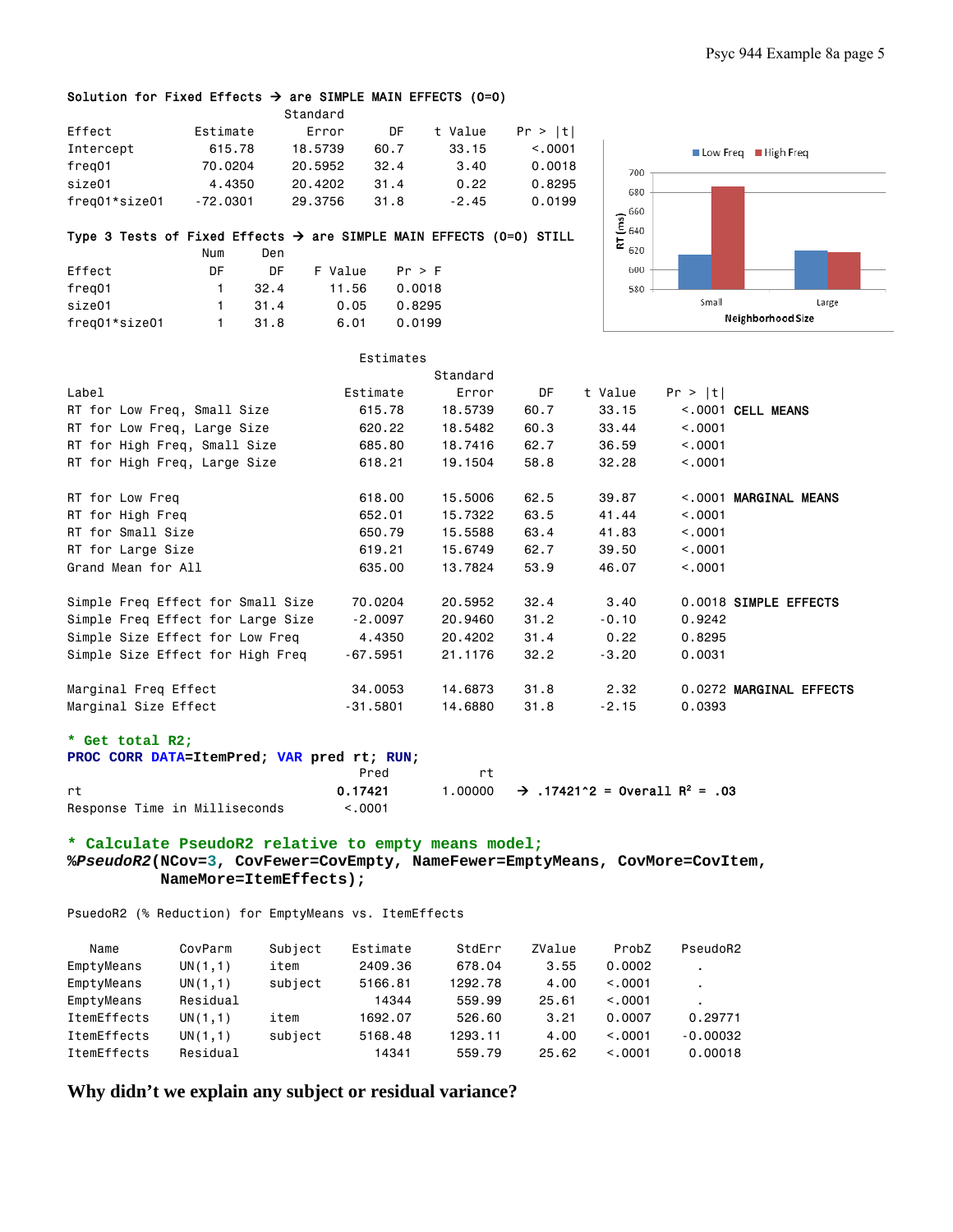### Solution for Fixed Effects  $\rightarrow$  are SIMPLE MAIN EFFECTS (0=0)

|               |          | Standard |      |         |         |
|---------------|----------|----------|------|---------|---------|
| Effect        | Estimate | Error    | DF   | t Value | Pr >  t |
| Intercept     | 615.78   | 18.5739  | 60.7 | 33.15   | < 0.001 |
| freg01        | 70,0204  | 20.5952  | 32.4 | 3.40    | 0.0018  |
| size01        | 4.4350   | 20.4202  | 31.4 | 0.22    | 0.8295  |
| freg01*size01 | -72.0301 | 29.3756  | 31.8 | $-2.45$ | 0.0199  |

#### Type 3 Tests of Fixed Effects  $\rightarrow$  are SIMPLE MAIN EFFECTS (0=0) STILL

|               | Num | Den  |         |        |  |
|---------------|-----|------|---------|--------|--|
| Effect        | DF. | DΕ   | F Value | Pr > F |  |
| freg01        | 1.  | 32.4 | 11.56   | 0.0018 |  |
| size01        | 1.  | 31.4 | 0.05    | 0.8295 |  |
| freg01*size01 |     | 31.8 | 6.01    | 0.0199 |  |



|                                   | Estimates  |          |      |         |         |                         |
|-----------------------------------|------------|----------|------|---------|---------|-------------------------|
|                                   |            | Standard |      |         |         |                         |
| Label                             | Estimate   | Error    | DF   | t Value | Pr >  t |                         |
| RT for Low Freq, Small Size       | 615.78     | 18,5739  | 60.7 | 33.15   |         | $<.0001$ CELL MEANS     |
| RT for Low Freq, Large Size       | 620.22     | 18,5482  | 60.3 | 33.44   | < 0.001 |                         |
| RT for High Freq, Small Size      | 685.80     | 18,7416  | 62.7 | 36.59   | < 0.001 |                         |
| RT for High Freq, Large Size      | 618.21     | 19,1504  | 58.8 | 32.28   | < 0.001 |                         |
| RT for Low Freq                   | 618,00     | 15,5006  | 62.5 | 39.87   |         | <.0001 MARGINAL MEANS   |
| RT for High Freq                  | 652.01     | 15,7322  | 63.5 | 41.44   | < 0.001 |                         |
| RT for Small Size                 | 650.79     | 15.5588  | 63.4 | 41.83   | < 0.001 |                         |
| RT for Large Size                 | 619.21     | 15.6749  | 62.7 | 39.50   | < 0.001 |                         |
| Grand Mean for All                | 635,00     | 13,7824  | 53.9 | 46.07   | < 0.001 |                         |
| Simple Freq Effect for Small Size | 70.0204    | 20,5952  | 32.4 | 3.40    |         | 0.0018 SIMPLE EFFECTS   |
| Simple Freq Effect for Large Size | $-2,0097$  | 20,9460  | 31.2 | $-0.10$ | 0.9242  |                         |
| Simple Size Effect for Low Freq   | 4,4350     | 20,4202  | 31.4 | 0.22    | 0.8295  |                         |
| Simple Size Effect for High Freq  | $-67.5951$ | 21, 1176 | 32.2 | $-3,20$ | 0.0031  |                         |
| Marginal Freq Effect              | 34,0053    | 14,6873  | 31.8 | 2.32    |         | 0.0272 MARGINAL EFFECTS |
| Marginal Size Effect              | $-31.5801$ | 14,6880  | 31.8 | $-2.15$ | 0.0393  |                         |

#### **\* Get total R2;**

| PROC CORR DATA=ItemPred: VAR pred rt: RUN: |         |    |                                                              |
|--------------------------------------------|---------|----|--------------------------------------------------------------|
|                                            | Pred    | r+ |                                                              |
| rt.                                        | 0.17421 |    | 1.00000 $\rightarrow$ 17421^2 = 0verall R <sup>2</sup> = .03 |
| Response Time in Milliseconds              | < 0.001 |    |                                                              |

### **\* Calculate PseudoR2 relative to empty means model; %***PseudoR2***(NCov=3, CovFewer=CovEmpty, NameFewer=EmptyMeans, CovMore=CovItem, NameMore=ItemEffects);**

PsuedoR2 (% Reduction) for EmptyMeans vs. ItemEffects

| Name        | CovParm  | Subject | Estimate | StdErr  | ZValue | ProbZ   | PseudoR2                 |
|-------------|----------|---------|----------|---------|--------|---------|--------------------------|
| EmptyMeans  | UN(1,1)  | item    | 2409.36  | 678.04  | 3.55   | 0.0002  | $\blacksquare$           |
| EmptyMeans  | UN(1,1)  | subject | 5166.81  | 1292.78 | 4.00   | < 0.001 | $\overline{\phantom{a}}$ |
| EmptyMeans  | Residual |         | 14344    | 559.99  | 25.61  | < 0.001 |                          |
| ItemEffects | UN(1,1)  | item    | 1692.07  | 526.60  | 3.21   | 0.0007  | 0.29771                  |
| ItemEffects | UN(1,1)  | subject | 5168.48  | 1293.11 | 4.00   | < 0.001 | $-0.00032$               |
| ItemEffects | Residual |         | 14341    | 559.79  | 25.62  | < 0.001 | 0.00018                  |

**Why didn't we explain any subject or residual variance?**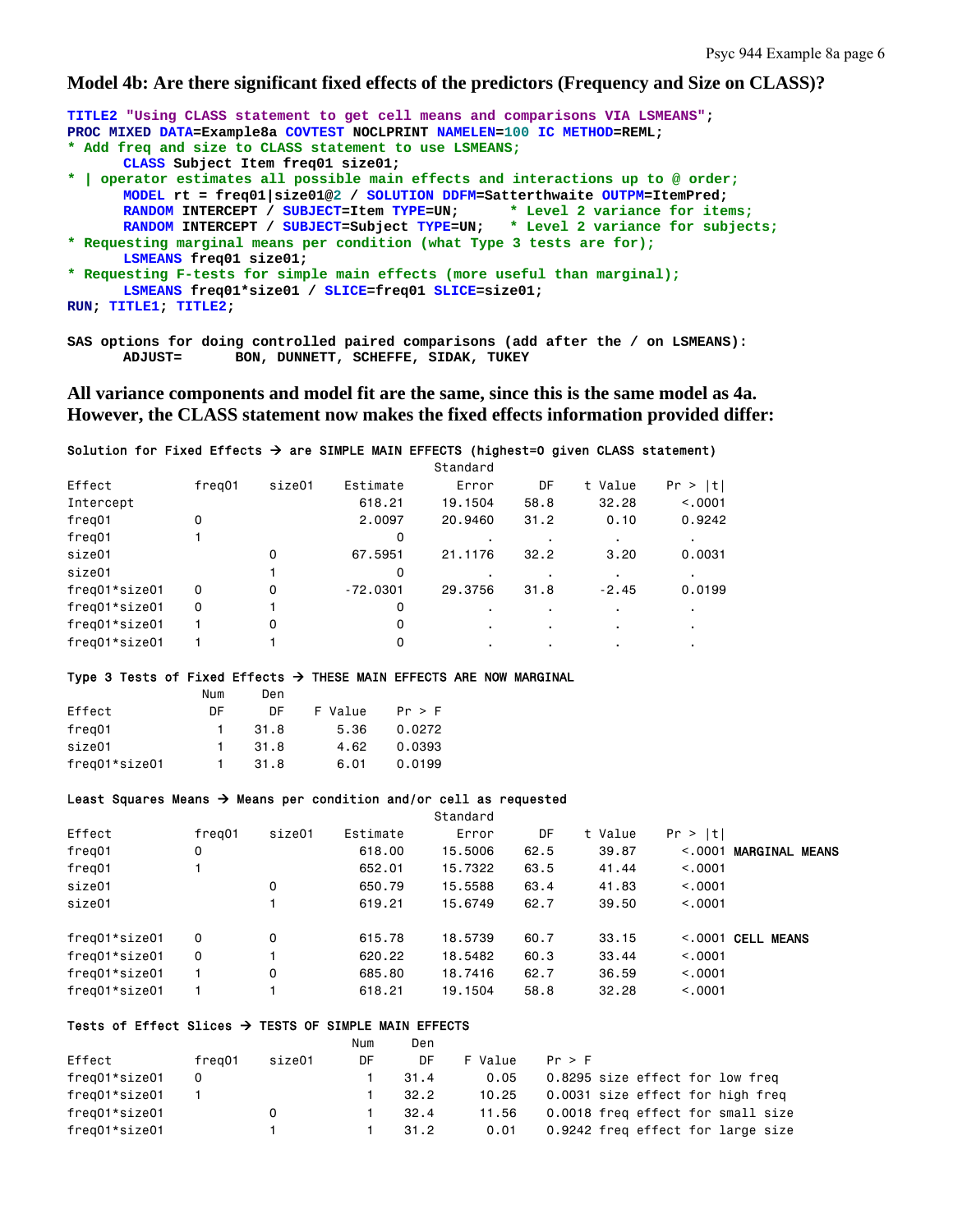### **Model 4b: Are there significant fixed effects of the predictors (Frequency and Size on CLASS)?**

| TITLE2 "Using CLASS statement to get cell means and comparisons VIA LSMEANS";    |
|----------------------------------------------------------------------------------|
| PROC MIXED DATA=Example8a COVTEST NOCLPRINT NAMELEN=100 IC METHOD=REML;          |
| * Add freq and size to CLASS statement to use LSMEANS;                           |
| CLASS Subject Item freq01 size01;                                                |
| *   operator estimates all possible main effects and interactions up to @ order; |
| MODEL rt = freq01 size01@2 / SOLUTION DDFM=Satterthwaite OUTPM=ItemPred;         |
| RANDOM INTERCEPT / SUBJECT=Item TYPE=UN; * Level 2 variance for items;           |
| RANDOM INTERCEPT / SUBJECT=Subject TYPE=UN; * Level 2 variance for subjects;     |
| * Requesting marginal means per condition (what Type 3 tests are for);           |
| LSMEANS freq01 size01;                                                           |
| * Requesting F-tests for simple main effects (more useful than marginal);        |
| LSMEANS freq01*size01 / SLICE=freq01 SLICE=size01;                               |
| RUN: TITLE1: TITLE2:                                                             |
|                                                                                  |
|                                                                                  |

**SAS options for doing controlled paired comparisons (add after the / on LSMEANS):**  BON, DUNNETT, SCHEFFE, SIDAK, TUKEY

**All variance components and model fit are the same, since this is the same model as 4a. However, the CLASS statement now makes the fixed effects information provided differ:** 

#### Solution for Fixed Effects  $\rightarrow$  are SIMPLE MAIN EFFECTS (highest=0 given CLASS statement)

|        |        |            | Standard       |      |         |         |
|--------|--------|------------|----------------|------|---------|---------|
| freg01 | size01 | Estimate   | Error          | DF   | t Value | Pr >  t |
|        |        | 618.21     | 19.1504        | 58.8 | 32.28   | < 0.001 |
| 0      |        | 2,0097     | 20,9460        | 31.2 | 0.10    | 0.9242  |
|        |        | 0          |                | ٠    |         |         |
|        | 0      | 67.5951    | 21.1176        | 32.2 | 3,20    | 0.0031  |
|        |        | 0          |                |      |         |         |
| 0      | 0      | $-72,0301$ | 29.3756        | 31.8 | $-2.45$ | 0.0199  |
| 0      |        | 0          |                |      |         |         |
|        | 0      | 0          | $\blacksquare$ | ٠    |         | ٠       |
|        |        | 0          |                |      |         |         |
|        |        |            |                |      |         |         |

#### Type 3 Tests of Fixed Effects  $\rightarrow$  THESE MAIN EFFECTS ARE NOW MARGINAL

|               | Num | Den  |         |        |
|---------------|-----|------|---------|--------|
| Effect        | DΕ  | DΕ   | F Value | Pr > F |
| freg01        | 1.  | 31.8 | 5.36    | 0.0272 |
| size01        | 1.  | 31.8 | 4.62    | 0.0393 |
| freg01*size01 |     | 31.8 | 6.01    | 0.0199 |

#### Least Squares Means  $\rightarrow$  Means per condition and/or cell as requested

|               |        |        |          | Standard |      |         |                                  |  |
|---------------|--------|--------|----------|----------|------|---------|----------------------------------|--|
| Effect        | freg01 | size01 | Estimate | Error    | DF   | t Value | Pr >  t                          |  |
| freg01        | 0      |        | 618,00   | 15,5006  | 62.5 | 39.87   | <b>MARGINAL MEANS</b><br>< 0.001 |  |
| freg01        |        |        | 652,01   | 15,7322  | 63.5 | 41.44   | < 0.0001                         |  |
| size01        |        | 0      | 650.79   | 15,5588  | 63.4 | 41.83   | < 0.0001                         |  |
| size01        |        |        | 619.21   | 15.6749  | 62.7 | 39.50   | < 0.0001                         |  |
| freg01*size01 | 0      | 0      | 615.78   | 18,5739  | 60.7 | 33.15   | $<$ .0001 CELL MEANS             |  |
| freg01*size01 | 0      |        | 620.22   | 18,5482  | 60.3 | 33.44   | < 0.0001                         |  |
| freg01*size01 |        | 0      | 685,80   | 18,7416  | 62.7 | 36.59   | < 0.0001                         |  |
| freg01*size01 |        |        | 618.21   | 19,1504  | 58.8 | 32.28   | < 0.0001                         |  |
|               |        |        |          |          |      |         |                                  |  |

# Tests of Effect Slices  $\rightarrow$  TESTS OF SIMPLE MAIN EFFECTS

|               |        |        | Num | Den  |         |                                   |
|---------------|--------|--------|-----|------|---------|-----------------------------------|
| Effect        | freg01 | size01 | DF  | DF   | F Value | Pr > F                            |
| freg01*size01 | 0      |        |     | 31.4 | 0.05    | 0.8295 size effect for low freq   |
| freg01*size01 |        |        |     | 32.2 | 10.25   | 0.0031 size effect for high freg  |
| freg01*size01 |        | 0      |     | 32.4 | 11.56   | 0.0018 freq effect for small size |
| freg01*size01 |        |        |     | 31.2 | 0.01    | 0.9242 freq effect for large size |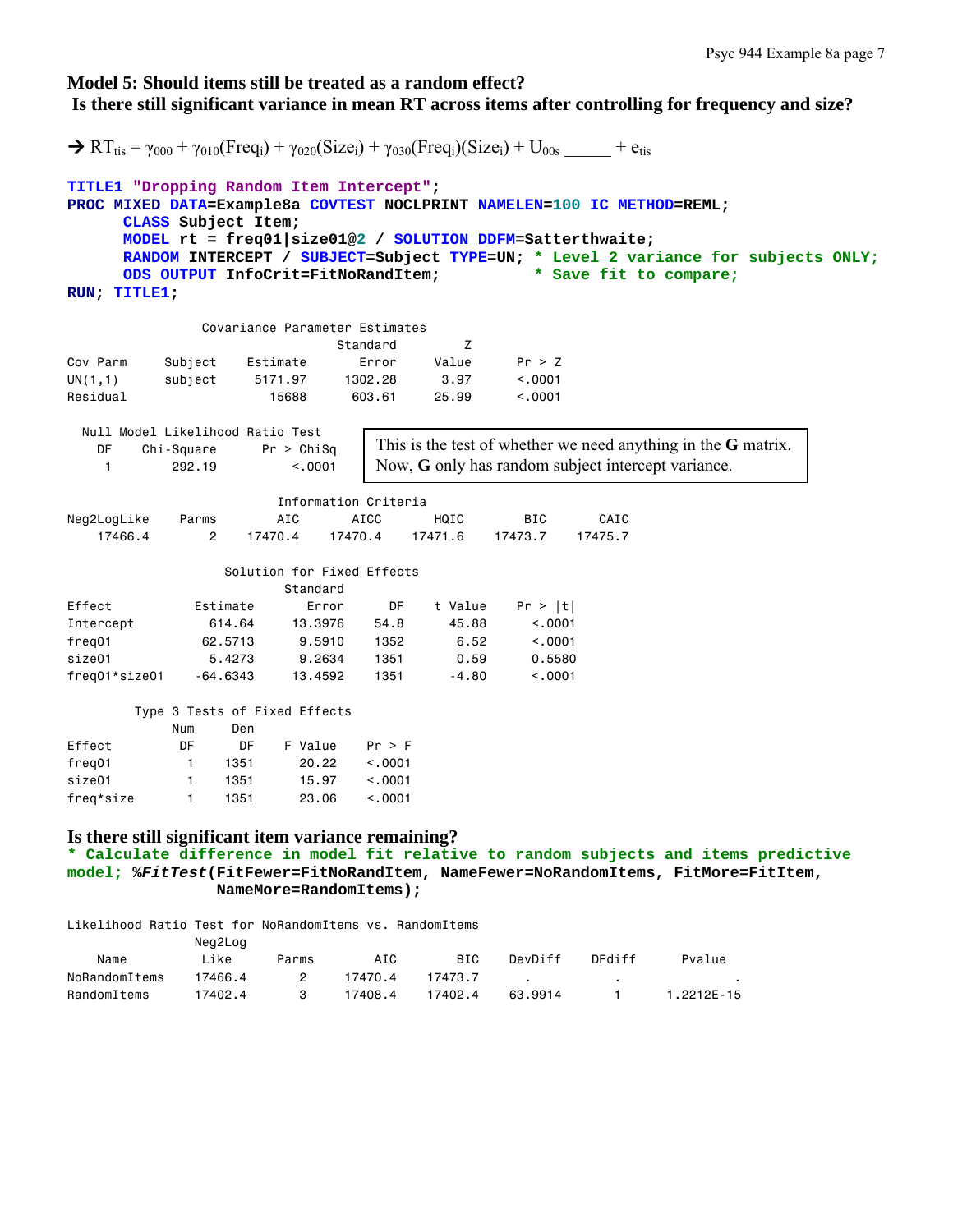## **Model 5: Should items still be treated as a random effect? Is there still significant variance in mean RT across items after controlling for frequency and size?**

```
\rightarrow RT_{\text{tis}} = \gamma_{000} + \gamma_{010}(Freq_i) + \gamma_{020}(Size_i) + \gamma_{030}(Freq_i)(Size_i) + U_{00s} + e<sub>tis</sub>
TITLE1 "Dropping Random Item Intercept"; 
PROC MIXED DATA=Example8a COVTEST NOCLPRINT NAMELEN=100 IC METHOD=REML; 
      CLASS Subject Item; 
     MODEL rt = freq01|size01@2 / SOLUTION DDFM=Satterthwaite; 
     RANDOM INTERCEPT / SUBJECT=Subject TYPE=UN; * Level 2 variance for subjects ONLY; 
      ODS OUTPUT InfoCrit=FitNoRandItem; * Save fit to compare;
RUN; TITLE1; 
               Covariance Parameter Estimates 
                            Standard Z
Cov Parm Subject Estimate Error Value Pr > Z 
UN(1,1) subject 5171.97 1302.28 3.97 <.0001 
Residual 15688 603.61 25.99 <.0001 
  Null Model Likelihood Ratio Test 
    DF Chi-Square Pr > ChiSq 
    1 292.19 <.0001 
                       Information Criteria 
Neg2LogLike Parms AIC AICC HQIC BIC CAIC
 17466.4 2 17470.4 17470.4 17471.6 17473.7 17475.7 
                 Solution for Fixed Effects 
                       Standard 
Effect Estimate Error DF t Value Pr > |t|
Intercept 614.64 13.3976 54.8 45.88 <.0001 
freq01 62.5713 9.5910 1352 6.52 <.0001 
size01 5.4273 9.2634 1351 0.59 0.5580 
freq01*size01 -64.6343 13.4592 1351 -4.80 <.0001 
        Type 3 Tests of Fixed Effects 
 Num Den 
Effect DF DF F Value Pr > F 
freq01 1 1351 20.22 <.0001
size01 1 1351 15.97 <.0001 
freq*size 1 1351 23.06 <.0001 
Is there still significant item variance remaining? 
* Calculate difference in model fit relative to random subjects and items predictive 
model; %FitTest(FitFewer=FitNoRandItem, NameFewer=NoRandomItems, FitMore=FitItem, 
                NameMore=RandomItems); 
Likelihood Ratio Test for NoRandomItems vs. RandomItems 
              Neg2Log 
 Name Like Parms AIC BIC DevDiff DFdiff Pvalue 
NoRandomItems  17466.4  2  17470.4  17473.7 .
RandomItems 17402.4 3 17408.4 17402.4 63.9914 1 1.2212E-15 
                                This is the test of whether we need anything in the G matrix. 
                                Now, G only has random subject intercept variance.
```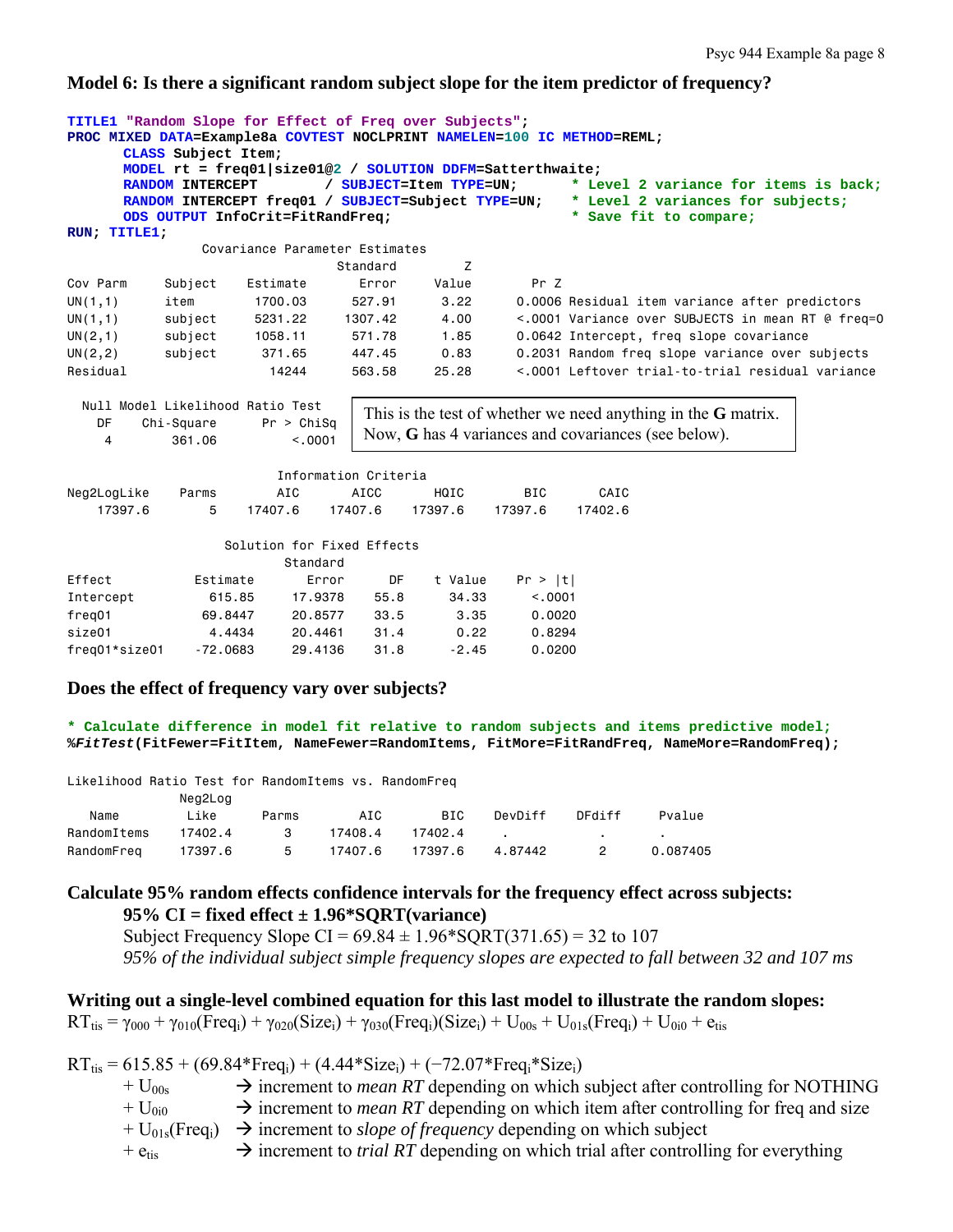### **Model 6: Is there a significant random subject slope for the item predictor of frequency?**

```
TITLE1 "Random Slope for Effect of Freq over Subjects"; 
PROC MIXED DATA=Example8a COVTEST NOCLPRINT NAMELEN=100 IC METHOD=REML; 
     CLASS Subject Item; 
     MODEL rt = freq01|size01@2 / SOLUTION DDFM=Satterthwaite; 
     RANDOM INTERCEPT / SUBJECT=Item TYPE=UN; * Level 2 variance for items is back;
     RANDOM INTERCEPT freq01 / SUBJECT=Subject TYPE=UN; * Level 2 variances for subjects; 
     ODS OUTPUT InfoCrit=FitRandFreq; * Save fit to compare;
RUN; TITLE1; 
              Covariance Parameter Estimates 
                           Standard Z 
Cov Parm Subject Estimate Error Value Pr Z 
UN(1,1) item 1700.03 527.91 3.22 0.0006 Residual item variance after predictors 
UN(1,1) subject 5231.22 1307.42 4.00 <.0001 Variance over SUBJECTS in mean RT @ freq=0 
UN(2,1) subject 1058.11 571.78 1.85 0.0642 Intercept, freq slope covariance 
UN(2,2) subject 371.65 447.45 0.83 0.2031 Random freq slope variance over subjects 
Residual 14244 563.58 25.28 <.0001 Leftover trial-to-trial residual variance
  Null Model Likelihood Ratio Test 
    DF Chi-Square Pr > ChiSq 
    4 361.06 <.0001 
                      Information Criteria 
Neg2LogLike Parms AIC AICC HQIC BIC CAIC 
 17397.6 5 17407.6 17407.6 17397.6 17397.6 17402.6 
                 Solution for Fixed Effects 
                       Standard 
Effect Estimate Error DF t Value Pr > |t|
Intercept 615.85 17.9378 55.8 34.33 <.0001 
freq01 69.8447 20.8577 33.5 3.35 0.0020 
size01 4.4434 20.4461 31.4 0.22 0.8294 
freq01*size01 -72.0683 29.4136 31.8 -2.45 0.0200 
                               This is the test of whether we need anything in the G matrix. 
                               Now, G has 4 variances and covariances (see below).
```
### **Does the effect of frequency vary over subjects?**

**\* Calculate difference in model fit relative to random subjects and items predictive model; %***FitTest***(FitFewer=FitItem, NameFewer=RandomItems, FitMore=FitRandFreq, NameMore=RandomFreq);**

|  |  |  | Likelihood Ratio Test for RandomItems vs. RandomFreq |  |  |
|--|--|--|------------------------------------------------------|--|--|
|--|--|--|------------------------------------------------------|--|--|

|             | Neg2Log |       |         |            |         |        |          |
|-------------|---------|-------|---------|------------|---------|--------|----------|
| Name        | Like    | Parms | AIC     | <b>BTC</b> | DevDiff | DFdiff | Pvalue   |
| RandomItems | 17402.4 | -3    | 17408.4 | 17402.4    |         |        |          |
| RandomFreg  | 17397.6 | -5    | 17407.6 | 17397.6    | 4.87442 | 2      | 0.087405 |

### **Calculate 95% random effects confidence intervals for the frequency effect across subjects: 95% CI = fixed effect ± 1.96\*SQRT(variance)**

Subject Frequency Slope CI =  $69.84 \pm 1.96*$  SQRT(371.65) = 32 to 107 *95% of the individual subject simple frequency slopes are expected to fall between 32 and 107 ms* 

# **Writing out a single-level combined equation for this last model to illustrate the random slopes:**

 $RT_{\text{tis}} = \gamma_{000} + \gamma_{010} (Freq_i) + \gamma_{020} (Size_i) + \gamma_{030} (Freq_i) (Size_i) + U_{00s} + U_{01s} (Freq_i) + U_{0i0} + e_{\text{tis}})$ 

 $RT_{\text{tis}} = 615.85 + (69.84*Freq_i) + (4.44*Size_i) + (-72.07*Freq_i*Size_i)$ 

- $+ U_{00s}$   $\rightarrow$  increment to *mean RT* depending on which subject after controlling for NOTHING
- $+ U_{0i0} \rightarrow$  increment to *mean RT* depending on which item after controlling for freq and size
- $+ U_{01s}$ (Freq<sub>i</sub>)  $\rightarrow$  increment to *slope of frequency* depending on which subject
- $+ e_{\text{tis}} \rightarrow$  increment to *trial RT* depending on which trial after controlling for everything